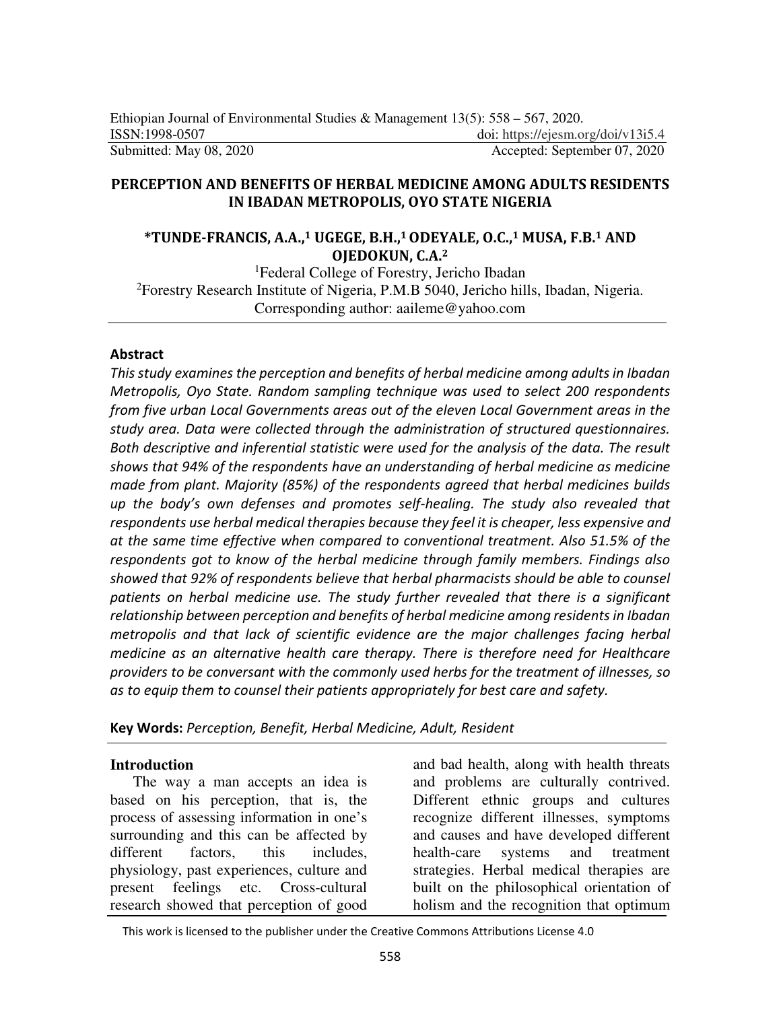## **PERCEPTION AND BENEFITS OF HERBAL MEDICINE AMONG ADULTS RESIDENTS IN IBADAN METROPOLIS, OYO STATE NIGERIA**

## **\*TUNDE-FRANCIS, A.A.,1 UGEGE, B.H.,1 ODEYALE, O.C.,1 MUSA, F.B.1 AND OJEDOKUN, C.A.<sup>2</sup>**

<sup>1</sup>Federal College of Forestry, Jericho Ibadan <sup>2</sup>Forestry Research Institute of Nigeria, P.M.B 5040, Jericho hills, Ibadan, Nigeria. Corresponding author: aaileme@yahoo.com

#### **Abstract**

*This study examines the perception and benefits of herbal medicine among adults in Ibadan Metropolis, Oyo State. Random sampling technique was used to select 200 respondents from five urban Local Governments areas out of the eleven Local Government areas in the study area. Data were collected through the administration of structured questionnaires. Both descriptive and inferential statistic were used for the analysis of the data. The result shows that 94% of the respondents have an understanding of herbal medicine as medicine made from plant. Majority (85%) of the respondents agreed that herbal medicines builds up the body's own defenses and promotes self-healing. The study also revealed that respondents use herbal medical therapies because they feel it is cheaper, less expensive and at the same time effective when compared to conventional treatment. Also 51.5% of the respondents got to know of the herbal medicine through family members. Findings also showed that 92% of respondents believe that herbal pharmacists should be able to counsel patients on herbal medicine use. The study further revealed that there is a significant relationship between perception and benefits of herbal medicine among residents in Ibadan metropolis and that lack of scientific evidence are the major challenges facing herbal medicine as an alternative health care therapy. There is therefore need for Healthcare providers to be conversant with the commonly used herbs for the treatment of illnesses, so as to equip them to counsel their patients appropriately for best care and safety.* 

**Key Words:** *Perception, Benefit, Herbal Medicine, Adult, Resident* 

#### **Introduction**

The way a man accepts an idea is based on his perception, that is, the process of assessing information in one's surrounding and this can be affected by different factors, this includes, physiology, past experiences, culture and present feelings etc. Cross-cultural research showed that perception of good

and bad health, along with health threats and problems are culturally contrived. Different ethnic groups and cultures recognize different illnesses, symptoms and causes and have developed different health-care systems and treatment strategies. Herbal medical therapies are built on the philosophical orientation of holism and the recognition that optimum

This work is licensed to the publisher under the Creative Commons Attributions License 4.0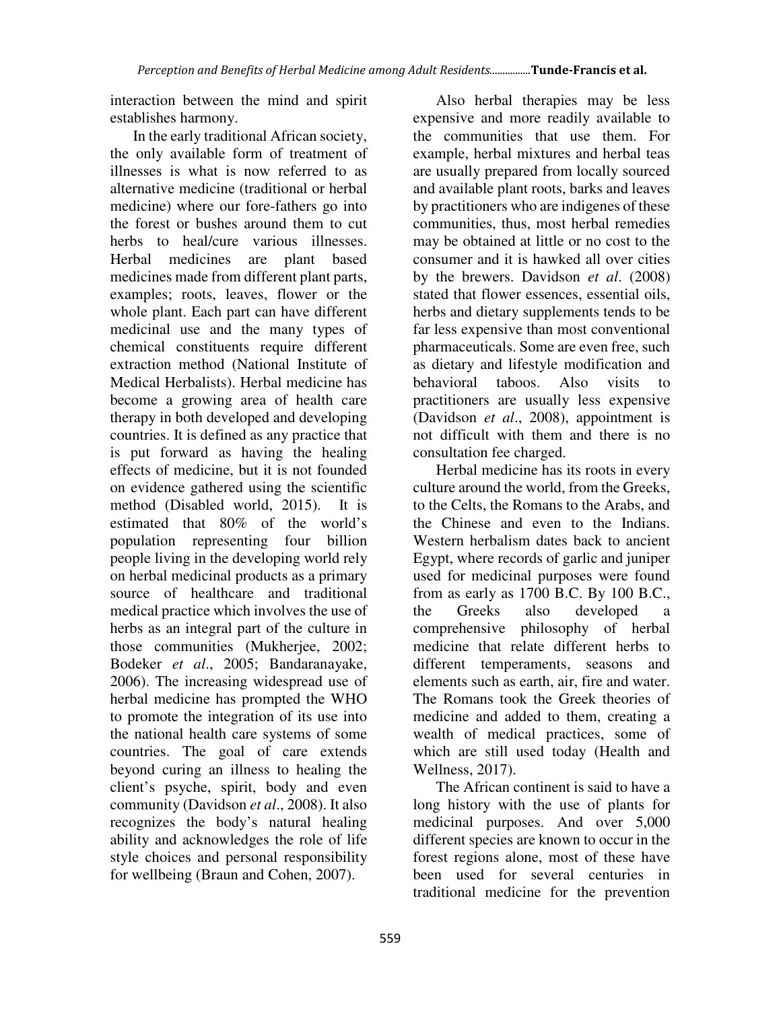interaction between the mind and spirit establishes harmony.

In the early traditional African society, the only available form of treatment of illnesses is what is now referred to as alternative medicine (traditional or herbal medicine) where our fore-fathers go into the forest or bushes around them to cut herbs to heal/cure various illnesses. Herbal medicines are plant based medicines made from different plant parts, examples; roots, leaves, flower or the whole plant. Each part can have different medicinal use and the many types of chemical constituents require different extraction method (National Institute of Medical Herbalists). Herbal medicine has become a growing area of health care therapy in both developed and developing countries. It is defined as any practice that is put forward as having the healing effects of medicine, but it is not founded on evidence gathered using the scientific method (Disabled world, 2015). It is estimated that 80% of the world's population representing four billion people living in the developing world rely on herbal medicinal products as a primary source of healthcare and traditional medical practice which involves the use of herbs as an integral part of the culture in those communities (Mukherjee, 2002; Bodeker *et al*., 2005; Bandaranayake, 2006). The increasing widespread use of herbal medicine has prompted the WHO to promote the integration of its use into the national health care systems of some countries. The goal of care extends beyond curing an illness to healing the client's psyche, spirit, body and even community (Davidson *et al*., 2008). It also recognizes the body's natural healing ability and acknowledges the role of life style choices and personal responsibility for wellbeing (Braun and Cohen, 2007).

Also herbal therapies may be less expensive and more readily available to the communities that use them. For example, herbal mixtures and herbal teas are usually prepared from locally sourced and available plant roots, barks and leaves by practitioners who are indigenes of these communities, thus, most herbal remedies may be obtained at little or no cost to the consumer and it is hawked all over cities by the brewers. Davidson *et al*. (2008) stated that flower essences, essential oils, herbs and dietary supplements tends to be far less expensive than most conventional pharmaceuticals. Some are even free, such as dietary and lifestyle modification and behavioral taboos. Also visits to practitioners are usually less expensive (Davidson *et al*., 2008), appointment is not difficult with them and there is no consultation fee charged.

Herbal medicine has its roots in every culture around the world, from the Greeks, to the Celts, the Romans to the Arabs, and the Chinese and even to the Indians. Western herbalism dates back to ancient Egypt, where records of garlic and juniper used for medicinal purposes were found from as early as 1700 B.C. By 100 B.C., the Greeks also developed a comprehensive philosophy of herbal medicine that relate different herbs to different temperaments, seasons and elements such as earth, air, fire and water. The Romans took the Greek theories of medicine and added to them, creating a wealth of medical practices, some of which are still used today (Health and Wellness, 2017).

The African continent is said to have a long history with the use of plants for medicinal purposes. And over 5,000 different species are known to occur in the forest regions alone, most of these have been used for several centuries in traditional medicine for the prevention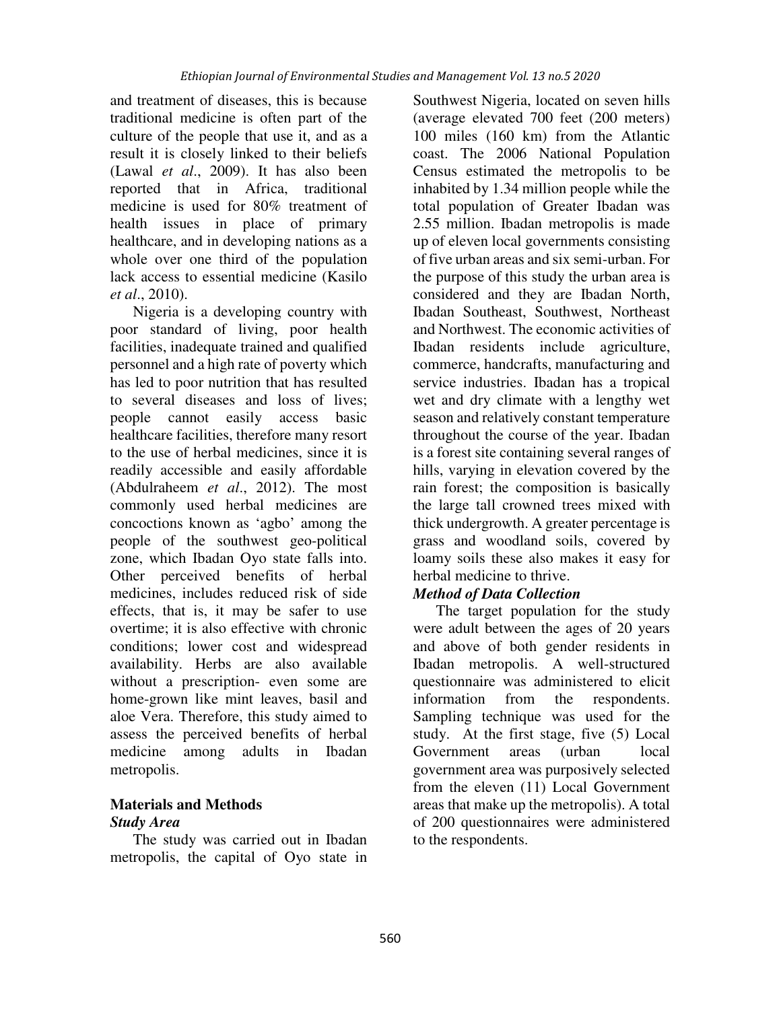and treatment of diseases, this is because traditional medicine is often part of the culture of the people that use it, and as a result it is closely linked to their beliefs (Lawal *et al*., 2009). It has also been reported that in Africa, traditional medicine is used for 80% treatment of health issues in place of primary healthcare, and in developing nations as a whole over one third of the population lack access to essential medicine (Kasilo *et al*., 2010).

Nigeria is a developing country with poor standard of living, poor health facilities, inadequate trained and qualified personnel and a high rate of poverty which has led to poor nutrition that has resulted to several diseases and loss of lives; people cannot easily access basic healthcare facilities, therefore many resort to the use of herbal medicines, since it is readily accessible and easily affordable (Abdulraheem *et al*., 2012). The most commonly used herbal medicines are concoctions known as 'agbo' among the people of the southwest geo-political zone, which Ibadan Oyo state falls into. Other perceived benefits of herbal medicines, includes reduced risk of side effects, that is, it may be safer to use overtime; it is also effective with chronic conditions; lower cost and widespread availability. Herbs are also available without a prescription- even some are home-grown like mint leaves, basil and aloe Vera. Therefore, this study aimed to assess the perceived benefits of herbal medicine among adults in Ibadan metropolis.

# **Materials and Methods**

# *Study Area*

The study was carried out in Ibadan metropolis, the capital of Oyo state in Southwest Nigeria, located on seven hills (average elevated 700 feet (200 meters) 100 miles (160 km) from the Atlantic coast. The 2006 National Population Census estimated the metropolis to be inhabited by 1.34 million people while the total population of Greater Ibadan was 2.55 million. Ibadan metropolis is made up of eleven local governments consisting of five urban areas and six semi-urban. For the purpose of this study the urban area is considered and they are Ibadan North, Ibadan Southeast, Southwest, Northeast and Northwest. The economic activities of Ibadan residents include agriculture, commerce, handcrafts, manufacturing and service industries. Ibadan has a tropical wet and dry climate with a lengthy wet season and relatively constant temperature throughout the course of the year. Ibadan is a forest site containing several ranges of hills, varying in elevation covered by the rain forest; the composition is basically the large tall crowned trees mixed with thick undergrowth. A greater percentage is grass and woodland soils, covered by loamy soils these also makes it easy for herbal medicine to thrive.

# *Method of Data Collection*

The target population for the study were adult between the ages of 20 years and above of both gender residents in Ibadan metropolis. A well-structured questionnaire was administered to elicit information from the respondents. Sampling technique was used for the study. At the first stage, five (5) Local Government areas (urban local government area was purposively selected from the eleven (11) Local Government areas that make up the metropolis). A total of 200 questionnaires were administered to the respondents.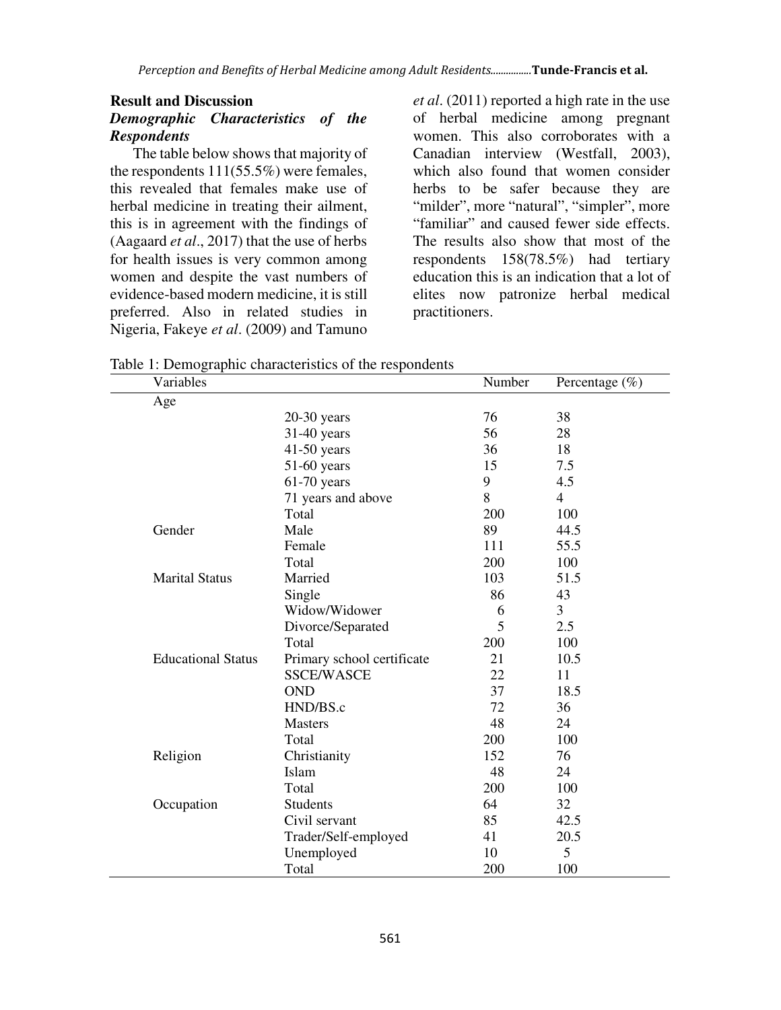## **Result and Discussion**  *Demographic Characteristics of the Respondents*

The table below shows that majority of the respondents 111(55.5%) were females, this revealed that females make use of herbal medicine in treating their ailment, this is in agreement with the findings of (Aagaard *et al*., 2017) that the use of herbs for health issues is very common among women and despite the vast numbers of evidence-based modern medicine, it is still preferred. Also in related studies in Nigeria, Fakeye *et al*. (2009) and Tamuno

*et al*. (2011) reported a high rate in the use of herbal medicine among pregnant women. This also corroborates with a Canadian interview (Westfall, 2003), which also found that women consider herbs to be safer because they are "milder", more "natural", "simpler", more "familiar" and caused fewer side effects. The results also show that most of the respondents 158(78.5%) had tertiary education this is an indication that a lot of elites now patronize herbal medical practitioners.

Table 1: Demographic characteristics of the respondents

| Variables                 | $\frac{1}{2}$ . Beinographic enargements of the respectively | Number | Percentage $(\% )$ |
|---------------------------|--------------------------------------------------------------|--------|--------------------|
| Age                       |                                                              |        |                    |
|                           | $20-30$ years                                                | 76     | 38                 |
|                           | $31-40$ years                                                | 56     | 28                 |
|                           | $41-50$ years                                                | 36     | 18                 |
|                           | $51-60$ years                                                | 15     | 7.5                |
|                           | $61-70$ years                                                | 9      | 4.5                |
|                           | 71 years and above                                           | 8      | $\overline{4}$     |
|                           | Total                                                        | 200    | 100                |
| Gender                    | Male                                                         | 89     | 44.5               |
|                           | Female                                                       | 111    | 55.5               |
|                           | Total                                                        | 200    | 100                |
| <b>Marital Status</b>     | Married                                                      | 103    | 51.5               |
|                           | Single                                                       | 86     | 43                 |
|                           | Widow/Widower                                                | 6      | 3                  |
|                           | Divorce/Separated                                            | 5      | 2.5                |
|                           | Total                                                        | 200    | 100                |
| <b>Educational Status</b> | Primary school certificate                                   | 21     | 10.5               |
|                           | <b>SSCE/WASCE</b>                                            | 22     | 11                 |
|                           | <b>OND</b>                                                   | 37     | 18.5               |
|                           | HND/BS.c                                                     | 72     | 36                 |
|                           | <b>Masters</b>                                               | 48     | 24                 |
|                           | Total                                                        | 200    | 100                |
| Religion                  | Christianity                                                 | 152    | 76                 |
|                           | Islam                                                        | 48     | 24                 |
|                           | Total                                                        | 200    | 100                |
| Occupation                | <b>Students</b>                                              | 64     | 32                 |
|                           | Civil servant                                                | 85     | 42.5               |
|                           | Trader/Self-employed                                         | 41     | 20.5               |
|                           | Unemployed                                                   | 10     | $\overline{5}$     |
|                           | Total                                                        | 200    | 100                |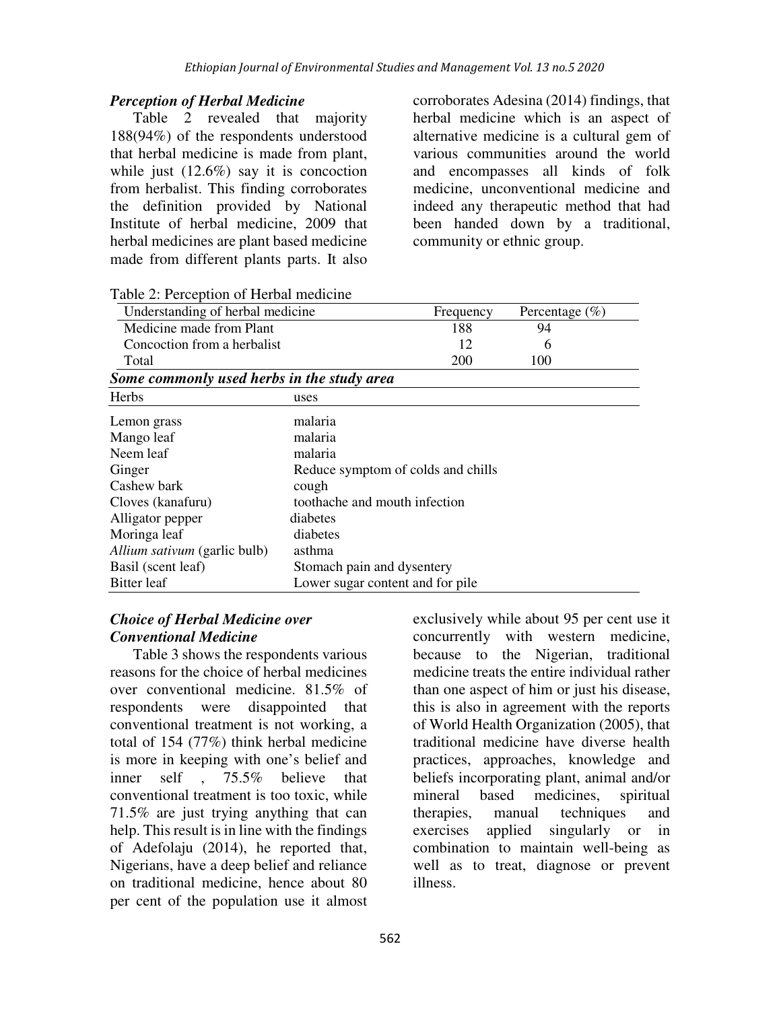## *Perception of Herbal Medicine*

Table 2 revealed that majority 188(94%) of the respondents understood that herbal medicine is made from plant, while just  $(12.6\%)$  say it is concoction from herbalist. This finding corroborates the definition provided by National Institute of herbal medicine, 2009 that herbal medicines are plant based medicine made from different plants parts. It also

corroborates Adesina (2014) findings, that herbal medicine which is an aspect of alternative medicine is a cultural gem of various communities around the world and encompasses all kinds of folk medicine, unconventional medicine and indeed any therapeutic method that had been handed down by a traditional, community or ethnic group.

| Understanding of herbal medicine           |                                    | Frequency | Percentage $(\% )$ |
|--------------------------------------------|------------------------------------|-----------|--------------------|
| Medicine made from Plant                   |                                    | 188       | 94                 |
| Concoction from a herbalist                |                                    | 12        | 6                  |
| Total                                      |                                    | 200       | 100                |
| Some commonly used herbs in the study area |                                    |           |                    |
| Herbs                                      | uses                               |           |                    |
| Lemon grass                                | malaria                            |           |                    |
| Mango leaf                                 | malaria                            |           |                    |
| Neem leaf                                  | malaria                            |           |                    |
| Ginger                                     | Reduce symptom of colds and chills |           |                    |
| Cashew bark                                | cough                              |           |                    |
| Cloves (kanafuru)                          | toothache and mouth infection      |           |                    |
| Alligator pepper                           | diabetes                           |           |                    |
| Moringa leaf                               | diabetes                           |           |                    |
| Allium sativum (garlic bulb)               | asthma                             |           |                    |
| Basil (scent leaf)                         | Stomach pain and dysentery         |           |                    |
| Bitter leaf                                | Lower sugar content and for pile   |           |                    |

Table 2: Perception of Herbal medicine

# *Choice of Herbal Medicine over Conventional Medicine*

Table 3 shows the respondents various reasons for the choice of herbal medicines over conventional medicine. 81.5% of respondents were disappointed that conventional treatment is not working, a total of 154 (77%) think herbal medicine is more in keeping with one's belief and inner self , 75.5% believe that conventional treatment is too toxic, while 71.5% are just trying anything that can help. This result is in line with the findings of Adefolaju (2014), he reported that, Nigerians, have a deep belief and reliance on traditional medicine, hence about 80 per cent of the population use it almost

exclusively while about 95 per cent use it concurrently with western medicine, because to the Nigerian, traditional medicine treats the entire individual rather than one aspect of him or just his disease, this is also in agreement with the reports of World Health Organization (2005), that traditional medicine have diverse health practices, approaches, knowledge and beliefs incorporating plant, animal and/or mineral based medicines, spiritual therapies, manual techniques and exercises applied singularly or in combination to maintain well-being as well as to treat, diagnose or prevent illness.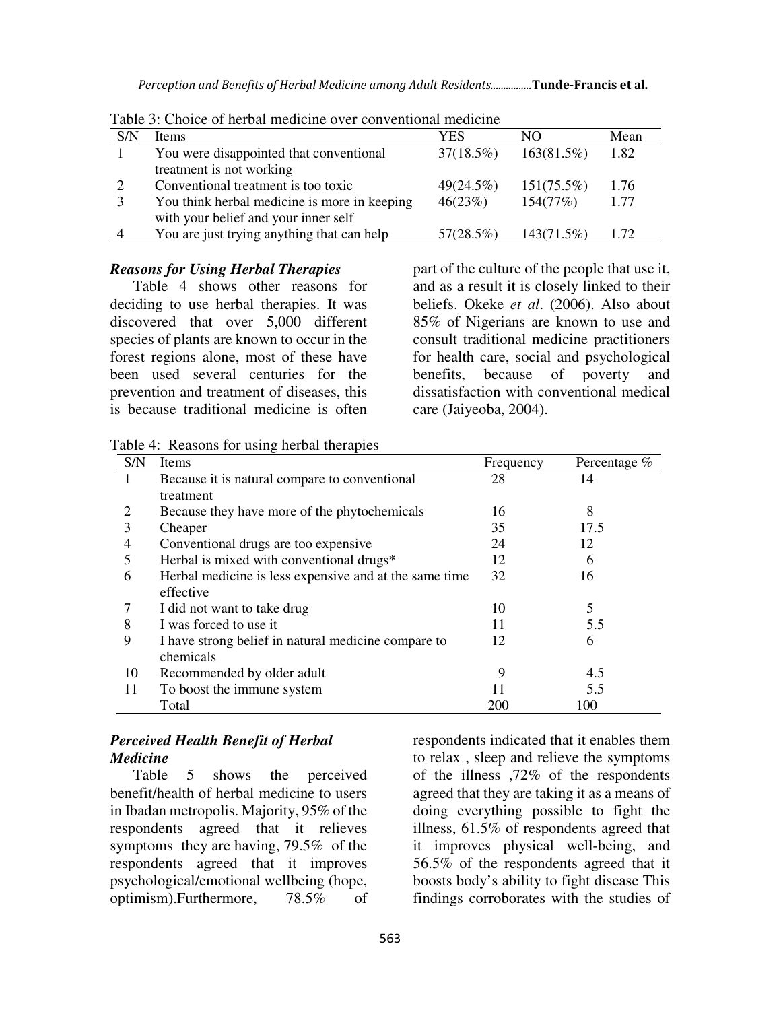*Perception and Benefits of Herbal Medicine among Adult Residents................***Tunde-Francis et al.**

|                | Table 9. Choice of herbar meaterne over conventional meaterne |              |               |      |  |  |  |  |
|----------------|---------------------------------------------------------------|--------------|---------------|------|--|--|--|--|
| S/N            | Items                                                         | YES          | NΟ            | Mean |  |  |  |  |
|                | You were disappointed that conventional                       | $37(18.5\%)$ | 163(81.5%)    | 1.82 |  |  |  |  |
|                | treatment is not working                                      |              |               |      |  |  |  |  |
|                | Conventional treatment is too toxic                           | 49(24.5%)    | $151(75.5\%)$ | 1.76 |  |  |  |  |
|                | You think herbal medicine is more in keeping                  | 46(23%)      | 154(77%)      | 1.77 |  |  |  |  |
|                | with your belief and your inner self                          |              |               |      |  |  |  |  |
| $\overline{4}$ | You are just trying anything that can help                    | 57(28.5%)    | 143(71.5%)    | 1.72 |  |  |  |  |

Table 3: Choice of herbal medicine over conventional medicine

#### *Reasons for Using Herbal Therapies*

Table 4 shows other reasons for deciding to use herbal therapies. It was discovered that over 5,000 different species of plants are known to occur in the forest regions alone, most of these have been used several centuries for the prevention and treatment of diseases, this is because traditional medicine is often

part of the culture of the people that use it, and as a result it is closely linked to their beliefs. Okeke *et al*. (2006). Also about 85% of Nigerians are known to use and consult traditional medicine practitioners for health care, social and psychological benefits, because of poverty and dissatisfaction with conventional medical care (Jaiyeoba, 2004).

Table 4: Reasons for using herbal therapies

| S/N | Items                                                  | Frequency | Percentage % |
|-----|--------------------------------------------------------|-----------|--------------|
|     | Because it is natural compare to conventional          | 28        | 14           |
|     | treatment                                              |           |              |
|     | Because they have more of the phytochemicals           | 16        | 8            |
| 3   | Cheaper                                                | 35        | 17.5         |
| 4   | Conventional drugs are too expensive                   | 24        | 12           |
| 5   | Herbal is mixed with conventional drugs*               | 12        | 6            |
| 6   | Herbal medicine is less expensive and at the same time | 32        | 16           |
|     | effective                                              |           |              |
|     | I did not want to take drug                            | 10        | 5            |
| 8   | I was forced to use it                                 | 11        | 5.5          |
| 9   | I have strong belief in natural medicine compare to    | 12        | 6            |
|     | chemicals                                              |           |              |
| 10  | Recommended by older adult                             | 9         | 4.5          |
| 11  | To boost the immune system                             |           | 5.5          |
|     | Total                                                  | 200       | 100          |

# *Perceived Health Benefit of Herbal Medicine*

Table 5 shows the perceived benefit/health of herbal medicine to users in Ibadan metropolis. Majority, 95% of the respondents agreed that it relieves symptoms they are having, 79.5% of the respondents agreed that it improves psychological/emotional wellbeing (hope, optimism).Furthermore, 78.5% of

respondents indicated that it enables them to relax , sleep and relieve the symptoms of the illness ,72% of the respondents agreed that they are taking it as a means of doing everything possible to fight the illness, 61.5% of respondents agreed that it improves physical well-being, and 56.5% of the respondents agreed that it boosts body's ability to fight disease This findings corroborates with the studies of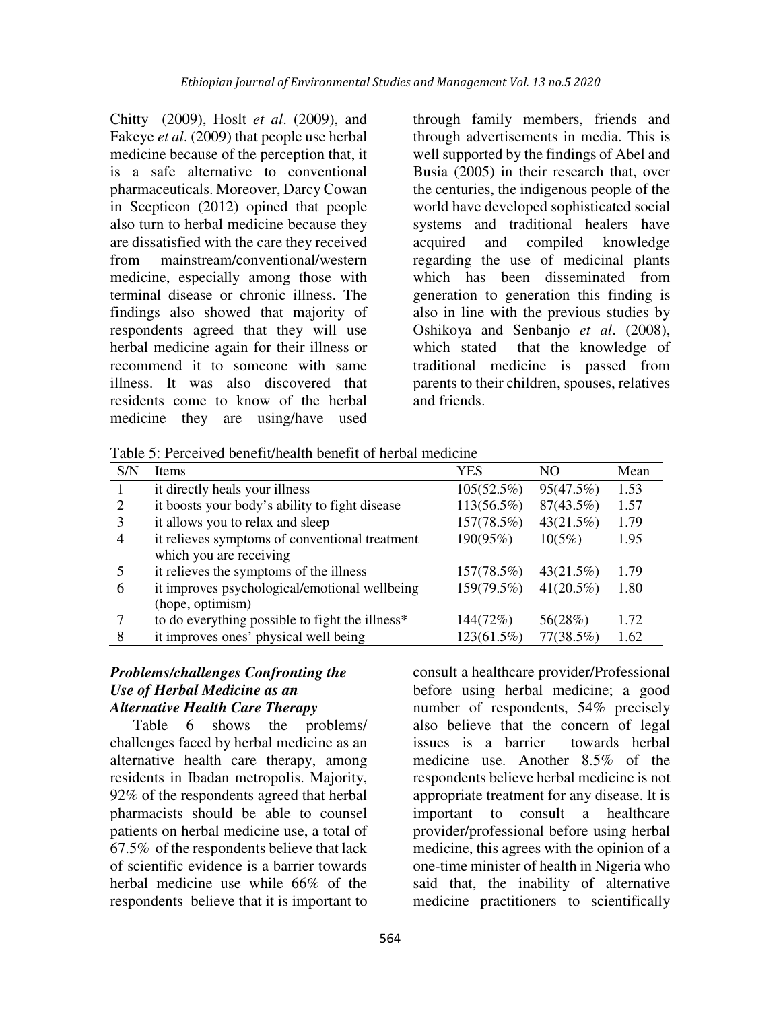Chitty (2009), Hoslt *et al*. (2009), and Fakeye *et al*. (2009) that people use herbal medicine because of the perception that, it is a safe alternative to conventional pharmaceuticals. Moreover, Darcy Cowan in Scepticon (2012) opined that people also turn to herbal medicine because they are dissatisfied with the care they received from mainstream/conventional/western medicine, especially among those with terminal disease or chronic illness. The findings also showed that majority of respondents agreed that they will use herbal medicine again for their illness or recommend it to someone with same illness. It was also discovered that residents come to know of the herbal medicine they are using/have used through family members, friends and through advertisements in media. This is well supported by the findings of Abel and Busia (2005) in their research that, over the centuries, the indigenous people of the world have developed sophisticated social systems and traditional healers have acquired and compiled knowledge regarding the use of medicinal plants which has been disseminated from generation to generation this finding is also in line with the previous studies by Oshikoya and Senbanjo *et al*. (2008), which stated that the knowledge of traditional medicine is passed from parents to their children, spouses, relatives and friends.

Table 5: Perceived benefit/health benefit of herbal medicine

| S/N            | Items                                           | YES        | NO.          | Mean |
|----------------|-------------------------------------------------|------------|--------------|------|
|                | it directly heals your illness                  | 105(52.5%) | 95(47.5%)    | 1.53 |
| 2              | it boosts your body's ability to fight disease  | 113(56.5%) | 87(43.5%)    | 1.57 |
| 3              | it allows you to relax and sleep                | 157(78.5%) | 43(21.5%)    | 1.79 |
| $\overline{4}$ | it relieves symptoms of conventional treatment  | 190(95%)   | $10(5\%)$    | 1.95 |
|                | which you are receiving                         |            |              |      |
| 5              | it relieves the symptoms of the illness         | 157(78.5%) | 43(21.5%)    | 1.79 |
| 6              | it improves psychological/emotional wellbeing   | 159(79.5%) | $41(20.5\%)$ | 1.80 |
|                | (hope, optimism)                                |            |              |      |
|                | to do everything possible to fight the illness* | 144(72%)   | 56(28%)      | 1.72 |
| 8              | it improves ones' physical well being           | 123(61.5%) | 77(38.5%)    | 1.62 |

### *Problems/challenges Confronting the Use of Herbal Medicine as an Alternative Health Care Therapy*

Table 6 shows the problems/ challenges faced by herbal medicine as an alternative health care therapy, among residents in Ibadan metropolis. Majority, 92% of the respondents agreed that herbal pharmacists should be able to counsel patients on herbal medicine use, a total of 67.5% of the respondents believe that lack of scientific evidence is a barrier towards herbal medicine use while 66% of the respondents believe that it is important to consult a healthcare provider/Professional before using herbal medicine; a good number of respondents, 54% precisely also believe that the concern of legal issues is a barrier towards herbal medicine use. Another 8.5% of the respondents believe herbal medicine is not appropriate treatment for any disease. It is important to consult a healthcare provider/professional before using herbal medicine, this agrees with the opinion of a one-time minister of health in Nigeria who said that, the inability of alternative medicine practitioners to scientifically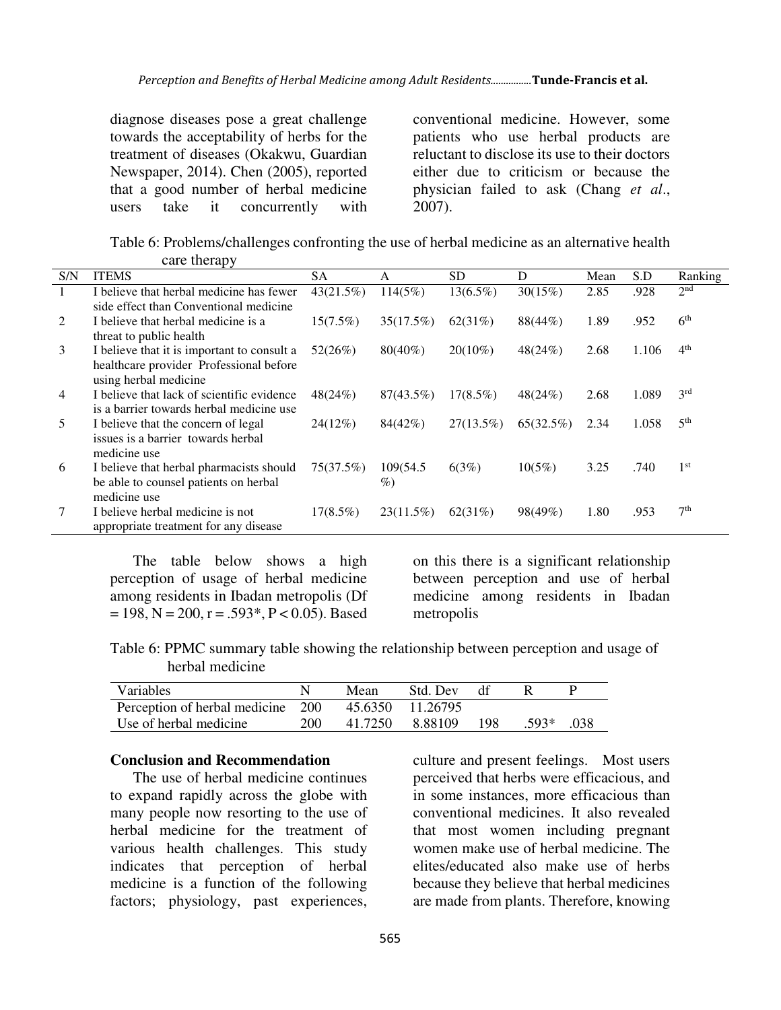diagnose diseases pose a great challenge towards the acceptability of herbs for the treatment of diseases (Okakwu, Guardian Newspaper, 2014). Chen (2005), reported that a good number of herbal medicine users take it concurrently with conventional medicine. However, some patients who use herbal products are reluctant to disclose its use to their doctors either due to criticism or because the physician failed to ask (Chang *et al*., 2007).

Table 6: Problems/challenges confronting the use of herbal medicine as an alternative health care therapy

| S/N            | <b>ITEMS</b>                                | <b>SA</b>   | А            | <b>SD</b>    | D         | Mean | S.D   | Ranking         |
|----------------|---------------------------------------------|-------------|--------------|--------------|-----------|------|-------|-----------------|
|                | I believe that herbal medicine has fewer    | 43(21.5%)   | 114(5%)      | $13(6.5\%)$  | 30(15%)   | 2.85 | .928  | 2 <sup>nd</sup> |
|                | side effect than Conventional medicine      |             |              |              |           |      |       |                 |
| 2              | I believe that herbal medicine is a         | $15(7.5\%)$ | 35(17.5%)    | 62(31%)      | 88(44%)   | 1.89 | .952  | 6 <sup>th</sup> |
|                | threat to public health                     |             |              |              |           |      |       |                 |
| 3              | I believe that it is important to consult a | 52(26%)     | $80(40\%)$   | $20(10\%)$   | 48(24%)   | 2.68 | 1.106 | 4 <sup>th</sup> |
|                | healthcare provider Professional before     |             |              |              |           |      |       |                 |
|                | using herbal medicine                       |             |              |              |           |      |       |                 |
| $\overline{4}$ | I believe that lack of scientific evidence  | 48(24%)     | $87(43.5\%)$ | $17(8.5\%)$  | 48(24%)   | 2.68 | 1.089 | 3 <sup>rd</sup> |
|                | is a barrier towards herbal medicine use    |             |              |              |           |      |       |                 |
| 5              | I believe that the concern of legal         | 24(12%)     | 84(42%)      | $27(13.5\%)$ | 65(32.5%) | 2.34 | 1.058 | 5 <sup>th</sup> |
|                | issues is a barrier towards herbal          |             |              |              |           |      |       |                 |
|                | medicine use                                |             |              |              |           |      |       |                 |
| 6              | I believe that herbal pharmacists should    | 75(37.5%)   | 109(54.5)    | 6(3%)        | $10(5\%)$ | 3.25 | .740  | 1 <sup>st</sup> |
|                | be able to counsel patients on herbal       |             | $\%$         |              |           |      |       |                 |
|                | medicine use                                |             |              |              |           |      |       |                 |
|                | I believe herbal medicine is not            | $17(8.5\%)$ | 23(11.5%)    | 62(31%)      | 98(49%)   | 1.80 | .953  | 7 <sup>th</sup> |
|                | appropriate treatment for any disease       |             |              |              |           |      |       |                 |

The table below shows a high perception of usage of herbal medicine among residents in Ibadan metropolis (Df  $= 198$ , N = 200, r = .593\*, P < 0.05). Based on this there is a significant relationship between perception and use of herbal medicine among residents in Ibadan metropolis

Table 6: PPMC summary table showing the relationship between perception and usage of herbal medicine

| <b>Variables</b>                  |     | Mean    | Std. Dev         | - dt |         |      |
|-----------------------------------|-----|---------|------------------|------|---------|------|
| Perception of herbal medicine 200 |     |         | 45.6350 11.26795 |      |         |      |
| Use of herbal medicine            | 200 | 41.7250 | 8.88109          | 198  | $.593*$ | -038 |

#### **Conclusion and Recommendation**

The use of herbal medicine continues to expand rapidly across the globe with many people now resorting to the use of herbal medicine for the treatment of various health challenges. This study indicates that perception of herbal medicine is a function of the following factors; physiology, past experiences, culture and present feelings. Most users perceived that herbs were efficacious, and in some instances, more efficacious than conventional medicines. It also revealed that most women including pregnant women make use of herbal medicine. The elites/educated also make use of herbs because they believe that herbal medicines are made from plants. Therefore, knowing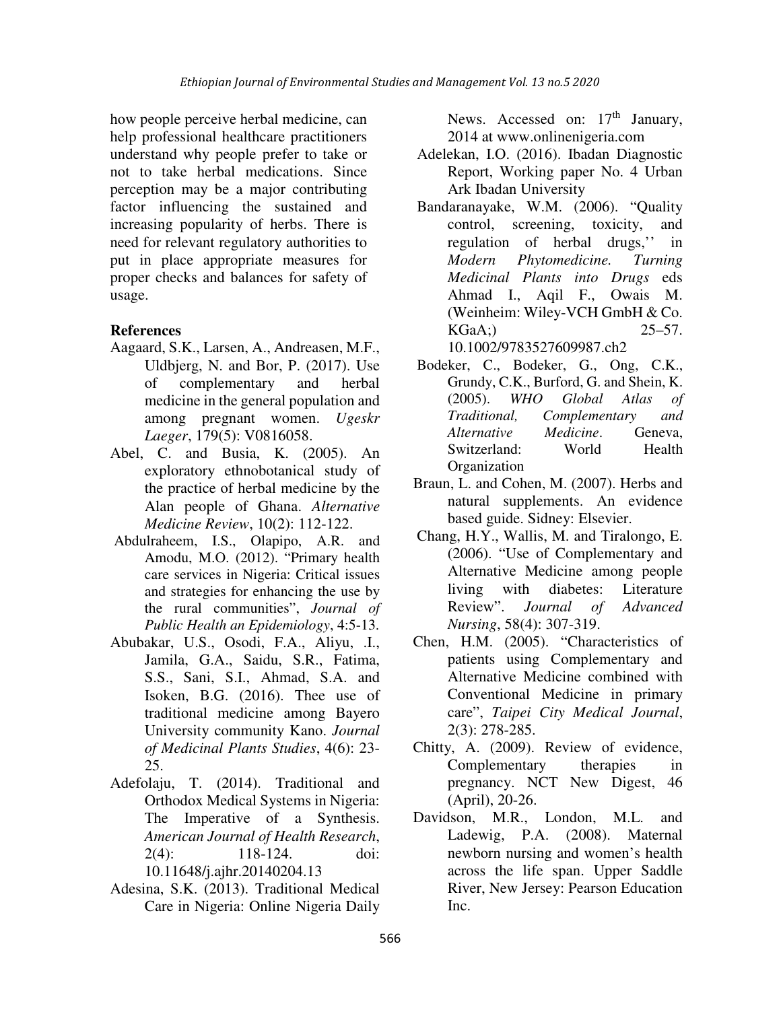how people perceive herbal medicine, can help professional healthcare practitioners understand why people prefer to take or not to take herbal medications. Since perception may be a major contributing factor influencing the sustained and increasing popularity of herbs. There is need for relevant regulatory authorities to put in place appropriate measures for proper checks and balances for safety of usage.

# **References**

- Aagaard, S.K., Larsen, A., Andreasen, M.F., Uldbjerg, N. and Bor, P. (2017). Use of complementary and herbal medicine in the general population and among pregnant women. *Ugeskr Laeger*, 179(5): V0816058.
- Abel, C. and Busia, K. (2005). An exploratory ethnobotanical study of the practice of herbal medicine by the Alan people of Ghana. *Alternative Medicine Review*, 10(2): 112-122.
- Abdulraheem, I.S., Olapipo, A.R. and Amodu, M.O. (2012). "Primary health care services in Nigeria: Critical issues and strategies for enhancing the use by the rural communities", *Journal of Public Health an Epidemiology*, 4:5-13.
- Abubakar, U.S., Osodi, F.A., Aliyu, .I., Jamila, G.A., Saidu, S.R., Fatima, S.S., Sani, S.I., Ahmad, S.A. and Isoken, B.G. (2016). Thee use of traditional medicine among Bayero University community Kano. *Journal of Medicinal Plants Studies*, 4(6): 23- 25.
- Adefolaju, T. (2014). Traditional and Orthodox Medical Systems in Nigeria: The Imperative of a Synthesis. *American Journal of Health Research*, 2(4): 118-124. doi: 10.11648/j.ajhr.20140204.13
- Adesina, S.K. (2013). Traditional Medical Care in Nigeria: Online Nigeria Daily

News. Accessed on:  $17<sup>th</sup>$  January, 2014 at www.onlinenigeria.com

- Adelekan, I.O. (2016). Ibadan Diagnostic Report, Working paper No. 4 Urban Ark Ibadan University
- Bandaranayake, W.M. (2006). "Quality control, screening, toxicity, and regulation of herbal drugs,'' in *Modern Phytomedicine. Turning Medicinal Plants into Drugs* eds Ahmad I., Aqil F., Owais M. (Weinheim: Wiley-VCH GmbH & Co. KGaA;) 25–57. 10.1002/9783527609987.ch2
- Bodeker, C., Bodeker, G., Ong, C.K., Grundy, C.K., Burford, G. and Shein, K. (2005). *WHO Global Atlas of Traditional, Complementary and Alternative Medicine*. Geneva, Switzerland: World Health **Organization**
- Braun, L. and Cohen, M. (2007). Herbs and natural supplements. An evidence based guide. Sidney: Elsevier.
- Chang, H.Y., Wallis, M. and Tiralongo, E. (2006). "Use of Complementary and Alternative Medicine among people living with diabetes: Literature Review". *Journal of Advanced Nursing*, 58(4): 307-319.
- Chen, H.M. (2005). "Characteristics of patients using Complementary and Alternative Medicine combined with Conventional Medicine in primary care", *Taipei City Medical Journal*, 2(3): 278-285.
- Chitty, A. (2009). Review of evidence, Complementary therapies in pregnancy. NCT New Digest, 46 (April), 20-26.
- Davidson, M.R., London, M.L. and Ladewig, P.A. (2008). Maternal newborn nursing and women's health across the life span. Upper Saddle River, New Jersey: Pearson Education Inc.